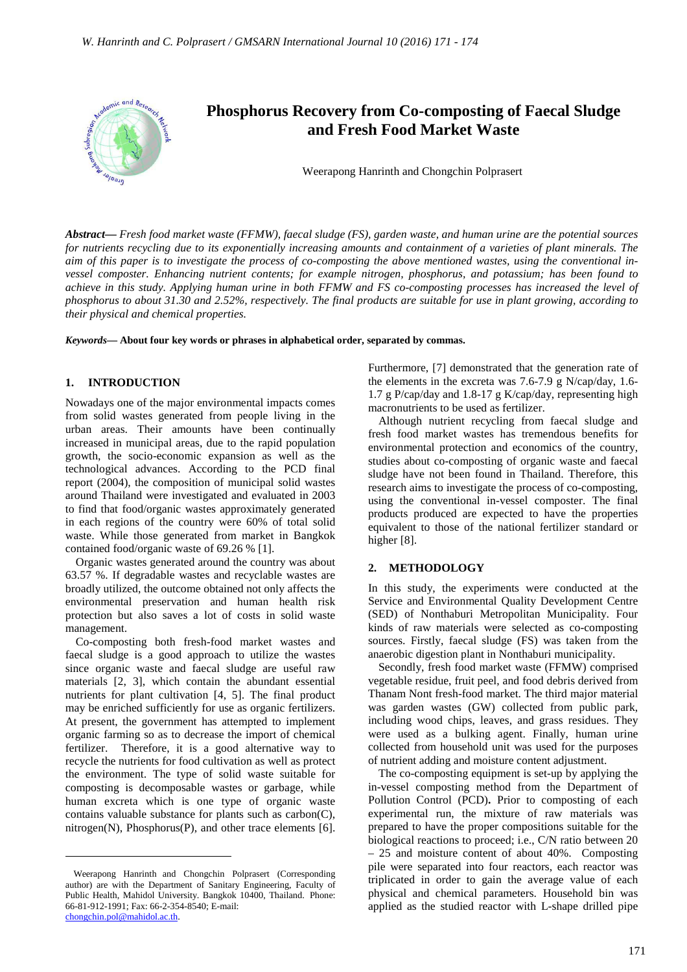

*Abstract***—** *Fresh food market waste (FFMW), faecal sludge (FS), garden waste, and human urine are the potential sources for nutrients recycling due to its exponentially increasing amounts and containment of a varieties of plant minerals. The aim of this paper is to investigate the process of co-composting the above mentioned wastes, using the conventional invessel composter. Enhancing nutrient contents; for example nitrogen, phosphorus, and potassium; has been found to achieve in this study. Applying human urine in both FFMW and FS co-composting processes has increased the level of phosphorus to about 31.30 and 2.52%, respectively. The final products are suitable for use in plant growing, according to their physical and chemical properties.*

*Keywords***— About four key words or phrases in alphabetical order, separated by commas.**

#### **1. INTRODUCTION**

Nowadays one of the major environmental impacts comes from solid wastes generated from people living in the urban areas. Their amounts have been continually increased in municipal areas, due to the rapid population growth, the socio-economic expansion as well as the technological advances. According to the PCD final report (2004), the composition of municipal solid wastes around Thailand were investigated and evaluated in 2003 to find that food/organic wastes approximately generated in each regions of the country were 60% of total solid waste. While those generated from market in Bangkok contained food/organic waste of 69.26 % [1].

Organic wastes generated around the country was about 63.57 %. If degradable wastes and recyclable wastes are broadly utilized, the outcome obtained not only affects the environmental preservation and human health risk protection but also saves a lot of costs in solid waste management.

Co-composting both fresh-food market wastes and faecal sludge is a good approach to utilize the wastes since organic waste and faecal sludge are useful raw materials [2, 3], which contain the abundant essential nutrients for plant cultivation [4, 5]. The final product may be enriched sufficiently for use as organic fertilizers. At present, the government has attempted to implement organic farming so as to decrease the import of chemical fertilizer. Therefore, it is a good alternative way to recycle the nutrients for food cultivation as well as protect the environment. The type of solid waste suitable for composting is decomposable wastes or garbage, while human excreta which is one type of organic waste contains valuable substance for plants such as carbon(C), nitrogen(N), Phosphorus(P), and other trace elements [6].

 $\overline{a}$ 

Furthermore, [7] demonstrated that the generation rate of the elements in the excreta was 7.6-7.9 g N/cap/day, 1.6- 1.7 g P/cap/day and 1.8-17 g K/cap/day, representing high macronutrients to be used as fertilizer.

Although nutrient recycling from faecal sludge and fresh food market wastes has tremendous benefits for environmental protection and economics of the country, studies about co-composting of organic waste and faecal sludge have not been found in Thailand. Therefore, this research aims to investigate the process of co-composting, using the conventional in-vessel composter. The final products produced are expected to have the properties equivalent to those of the national fertilizer standard or higher [8].

## **2. METHODOLOGY**

In this study, the experiments were conducted at the Service and Environmental Quality Development Centre (SED) of Nonthaburi Metropolitan Municipality. Four kinds of raw materials were selected as co-composting sources. Firstly, faecal sludge (FS) was taken from the anaerobic digestion plant in Nonthaburi municipality.

Secondly, fresh food market waste (FFMW) comprised vegetable residue, fruit peel, and food debris derived from Thanam Nont fresh-food market. The third major material was garden wastes (GW) collected from public park, including wood chips, leaves, and grass residues. They were used as a bulking agent. Finally, human urine collected from household unit was used for the purposes of nutrient adding and moisture content adjustment.

The co-composting equipment is set-up by applying the in-vessel composting method from the Department of Pollution Control (PCD)**.** Prior to composting of each experimental run, the mixture of raw materials was prepared to have the proper compositions suitable for the biological reactions to proceed; i.e., C/N ratio between 20 – 25 and moisture content of about 40%. Composting pile were separated into four reactors, each reactor was triplicated in order to gain the average value of each physical and chemical parameters. Household bin was applied as the studied reactor with L-shape drilled pipe

Weerapong Hanrinth and Chongchin Polprasert (Corresponding author) are with the Department of Sanitary Engineering, Faculty of Public Health, Mahidol University. Bangkok 10400, Thailand. Phone: 66-81-912-1991; Fax: 66-2-354-8540; E-mail: chongchin.pol@mahidol.ac.th.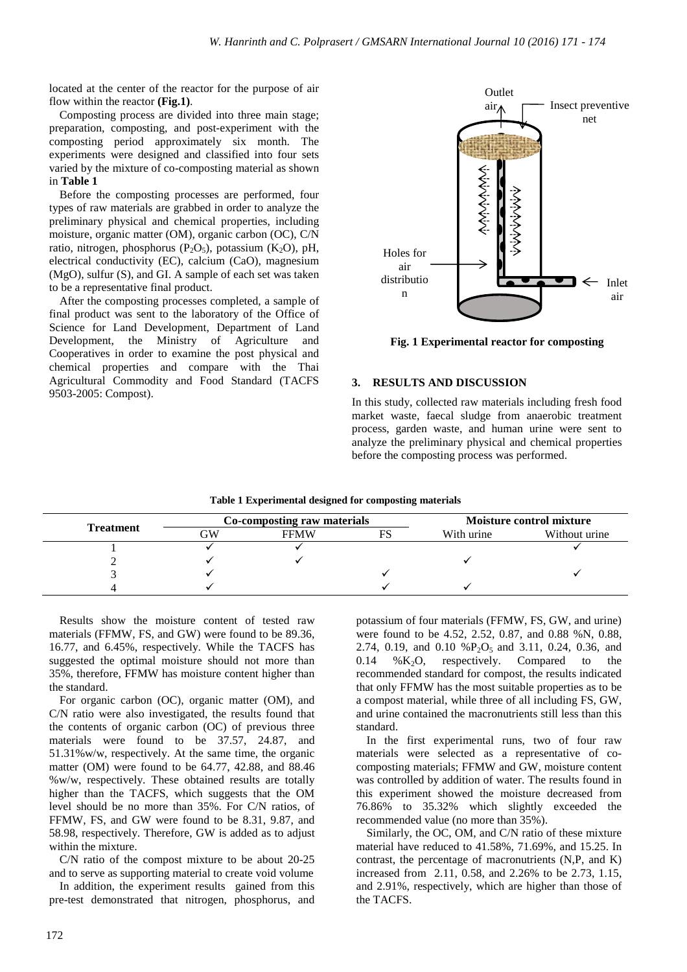located at the center of the reactor for the purpose of air flow within the reactor **(Fig.1)**.

Composting process are divided into three main stage; preparation, composting, and post-experiment with the composting period approximately six month. The experiments were designed and classified into four sets varied by the mixture of co-composting material as shown in **Table 1**

Before the composting processes are performed, four types of raw materials are grabbed in order to analyze the preliminary physical and chemical properties, including moisture, organic matter (OM), organic carbon (OC), C/N ratio, nitrogen, phosphorus  $(P_2O_5)$ , potassium  $(K_2O)$ , pH, electrical conductivity (EC), calcium (CaO), magnesium (MgO), sulfur (S), and GI. A sample of each set was taken to be a representative final product.

After the composting processes completed, a sample of final product was sent to the laboratory of the Office of Science for Land Development, Department of Land Development, the Ministry of Agriculture and Cooperatives in order to examine the post physical and chemical properties and compare with the Thai Agricultural Commodity and Food Standard (TACFS 9503-2005: Compost).



**Fig. 1 Experimental reactor for composting** 

#### **3. RESULTS AND DISCUSSION**

In this study, collected raw materials including fresh food market waste, faecal sludge from anaerobic treatment process, garden waste, and human urine were sent to analyze the preliminary physical and chemical properties before the composting process was performed.

| Table 1 Experimental designed for composting materials |  |  |  |  |  |  |  |
|--------------------------------------------------------|--|--|--|--|--|--|--|
|--------------------------------------------------------|--|--|--|--|--|--|--|

| <b>Treatment</b> | Co-composting raw materials |             |  | Moisture control mixture |               |
|------------------|-----------------------------|-------------|--|--------------------------|---------------|
|                  | GW                          | <b>FFMW</b> |  | With urine               | Without urine |
|                  |                             |             |  |                          |               |
|                  |                             |             |  |                          |               |
|                  |                             |             |  |                          |               |
|                  |                             |             |  |                          |               |

Results show the moisture content of tested raw materials (FFMW, FS, and GW) were found to be 89.36, 16.77, and 6.45%, respectively. While the TACFS has suggested the optimal moisture should not more than 35%, therefore, FFMW has moisture content higher than the standard.

For organic carbon (OC), organic matter (OM), and C/N ratio were also investigated, the results found that the contents of organic carbon (OC) of previous three materials were found to be 37.57, 24.87, and 51.31%w/w, respectively. At the same time, the organic matter (OM) were found to be 64.77, 42.88, and 88.46 %w/w, respectively. These obtained results are totally higher than the TACFS, which suggests that the OM level should be no more than 35%. For C/N ratios, of FFMW, FS, and GW were found to be 8.31, 9.87, and 58.98, respectively. Therefore, GW is added as to adjust within the mixture.

C/N ratio of the compost mixture to be about 20-25 and to serve as supporting material to create void volume

In addition, the experiment results gained from this pre-test demonstrated that nitrogen, phosphorus, and

potassium of four materials (FFMW, FS, GW, and urine) were found to be 4.52, 2.52, 0.87, and 0.88 %N, 0.88, 2.74, 0.19, and 0.10 % $P_2O_5$  and 3.11, 0.24, 0.36, and  $0.14$  %K<sub>2</sub>O, respectively. Compared to the recommended standard for compost, the results indicated that only FFMW has the most suitable properties as to be a compost material, while three of all including FS, GW, and urine contained the macronutrients still less than this standard.

In the first experimental runs, two of four raw materials were selected as a representative of cocomposting materials; FFMW and GW, moisture content was controlled by addition of water. The results found in this experiment showed the moisture decreased from 76.86% to 35.32% which slightly exceeded the recommended value (no more than 35%).

Similarly, the OC, OM, and C/N ratio of these mixture material have reduced to 41.58%, 71.69%, and 15.25. In contrast, the percentage of macronutrients (N,P, and K) increased from 2.11, 0.58, and 2.26% to be 2.73, 1.15, and 2.91%, respectively, which are higher than those of the TACFS.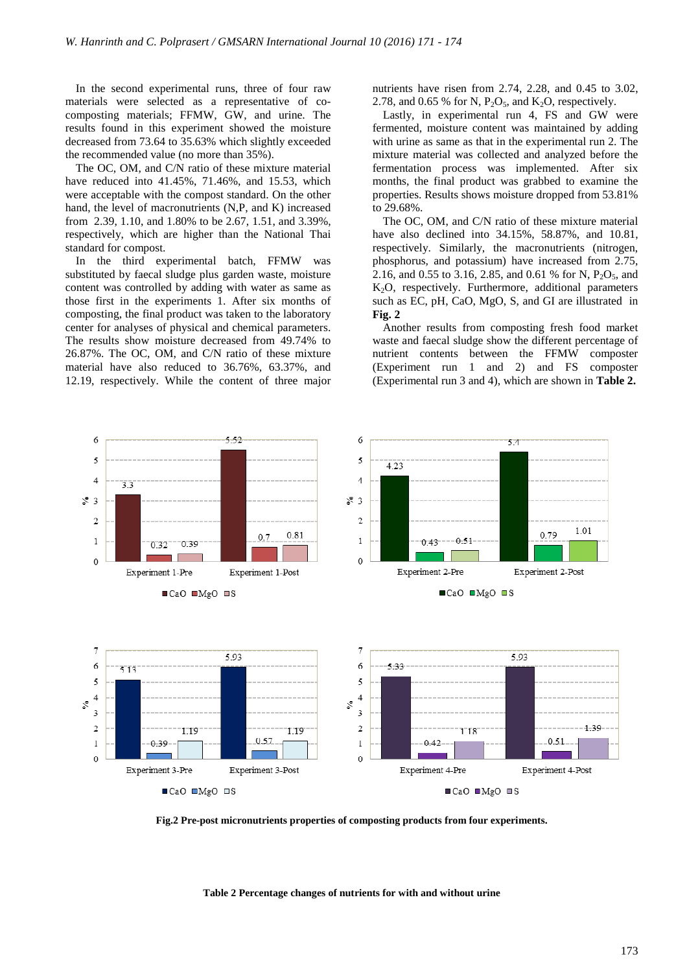In the second experimental runs, three of four raw materials were selected as a representative of cocomposting materials; FFMW, GW, and urine. The results found in this experiment showed the moisture decreased from 73.64 to 35.63% which slightly exceeded the recommended value (no more than 35%).

The OC, OM, and C/N ratio of these mixture material have reduced into 41.45%, 71.46%, and 15.53, which were acceptable with the compost standard. On the other hand, the level of macronutrients (N,P, and K) increased from 2.39, 1.10, and 1.80% to be 2.67, 1.51, and 3.39%, respectively, which are higher than the National Thai standard for compost.

In the third experimental batch, FFMW was substituted by faecal sludge plus garden waste, moisture content was controlled by adding with water as same as those first in the experiments 1. After six months of composting, the final product was taken to the laboratory center for analyses of physical and chemical parameters. The results show moisture decreased from 49.74% to 26.87%. The OC, OM, and C/N ratio of these mixture material have also reduced to 36.76%, 63.37%, and 12.19, respectively. While the content of three major nutrients have risen from 2.74, 2.28, and 0.45 to 3.02, 2.78, and 0.65 % for N,  $P_2O_5$ , and  $K_2O$ , respectively.

Lastly, in experimental run 4, FS and GW were fermented, moisture content was maintained by adding with urine as same as that in the experimental run 2. The mixture material was collected and analyzed before the fermentation process was implemented. After six months, the final product was grabbed to examine the properties. Results shows moisture dropped from 53.81% to 29.68%.

The OC, OM, and C/N ratio of these mixture material have also declined into 34.15%, 58.87%, and 10.81, respectively. Similarly, the macronutrients (nitrogen, phosphorus, and potassium) have increased from 2.75, 2.16, and 0.55 to 3.16, 2.85, and 0.61 % for N,  $P_2O_5$ , and  $K<sub>2</sub>O$ , respectively. Furthermore, additional parameters such as EC, pH, CaO, MgO, S, and GI are illustrated in **Fig. 2**

Another results from composting fresh food market waste and faecal sludge show the different percentage of nutrient contents between the FFMW composter (Experiment run 1 and 2) and FS composter (Experimental run 3 and 4), which are shown in **Table 2.** 



**Fig.2 Pre-post micronutrients properties of composting products from four experiments.** 

**Table 2 Percentage changes of nutrients for with and without urine**